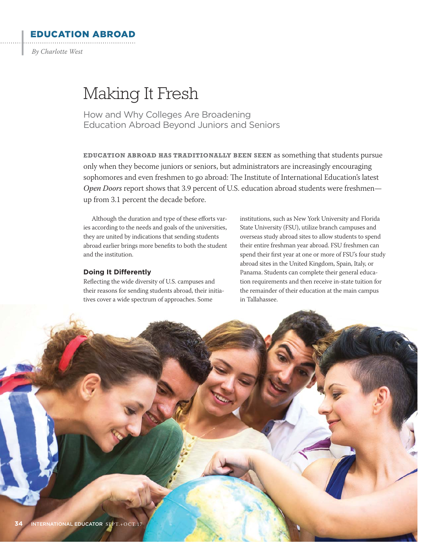EDUCATION ABROAD *By Charlotte West*

 $\cdot$ 

# Making It Fresh

How and Why Colleges Are Broadening Education Abroad Beyond Juniors and Seniors

**EDUCATION ABROAD HAS TRADITIONALLY BEEN SEEN** as something that students pursue only when they become juniors or seniors, but administrators are increasingly encouraging sophomores and even freshmen to go abroad: The Institute of International Education's latest Open Doors report shows that 3.9 percent of U.S. education abroad students were freshmenup from 3.1 percent the decade before.

Although the duration and type of these efforts varies according to the needs and goals of the universities, they are united by indications that sending students abroad earlier brings more benefits to both the student and the institution.

# **Doing It Differently**

Reflecting the wide diversity of U.S. campuses and their reasons for sending students abroad, their initiatives cover a wide spectrum of approaches. Some

institutions, such as New York University and Florida State University (FSU), utilize branch campuses and overseas study abroad sites to allow students to spend their entire freshman year abroad. FSU freshmen can spend their first year at one or more of FSU's four study abroad sites in the United Kingdom, Spain, Italy, or Panama. Students can complete their general education requirements and then receive in-state tuition for the remainder of their education at the main campus in Tallahassee.

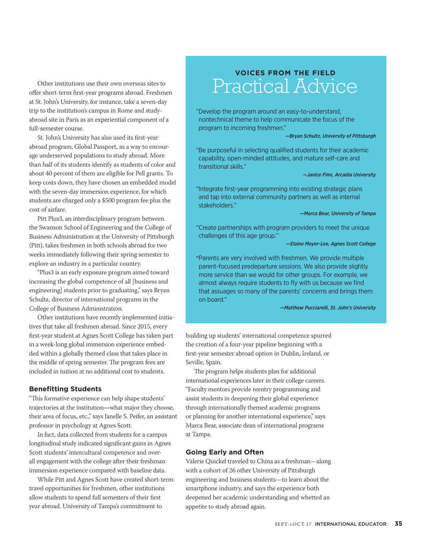Other institutions use their own overseas sites to offer short-term first-year programs abroad. Freshmen at St. John's University, for instance, take a seven-day trip to the institution's campus in Rome and studyabroad site in Paris as an experiential component of a full-semester course.

St. John's University has also used its first-year abroad program, Global Passport, as a way to encourage underserved populations to study abroad. More than half of its students identify as students of color and about 40 percent of them are eligible for Pell grants. To keep costs down, they have chosen an embedded model with the seven-day immersion experience, for which students are charged only a \$500 program fee plus the cost of airfare.

Pitt Plus3, an interdisciplinary program between the Swanson School of Engineering and the College of Business Administration at the University of Pittsburgh (Pitt), takes freshmen in both schools abroad for two weeks immediately following their spring semester to explore an industry in a particular country.

"Plus3 is an early exposure program aimed toward increasing the global competence of all [business and engineering] students prior to graduating," says Bryan Schultz, director of international programs in the College of Business Administration.

Other institutions have recently implemented initiatives that take all freshmen abroad. Since 2015, every first-year student at Agnes Scott College has taken part in a week-long global immersion experience embedded within a globally themed class that takes place in the middle of spring semester. The program fees are included in tuition at no additional cost to students.

# **Benefitting Students**

"This formative experience can help shape students' trajectories at the institution**—**what major they choose, their area of focus, etc.," says Janelle S. Peifer, an assistant professor in psychology at Agnes Scott.

In fact, data collected from students for a campus longitudinal study indicated significant gains in Agnes Scott students' intercultural competence and overall engagement with the college after their freshman immersion experience compared with baseline data.

While Pitt and Agnes Scott have created short-term travel opportunities for freshmen, other institutions allow students to spend full semesters of their first year abroad. University of Tampa's commitment to

# **VOICES FROM THE FIELD** Practical Advice

" Develop the program around an easy-to-understand, nontechnical theme to help communicate the focus of the program to incoming freshmen."

## *—Bryan Schultz, University of Pittsburgh*

" Be purposeful in selecting qualified students for their academic capability, open-minded attitudes, and mature self-care and transitional skills."

# *—Janice Finn, Arcadia University*

"Integrate first-year programming into existing strategic plans and tap into external community partners as well as internal stakeholders."

#### *—Marca Bear, University of Tampa*

" Create partnerships with program providers to meet the unique challenges of this age group."

*—Elaine Meyer-Lee, Agnes Scott College*

"Parents are very involved with freshmen. We provide multiple parent-focused predeparture sessions. We also provide slightly more service than we would for other groups. For example, we almost always require students to fly with us because we find that assuages so many of the parents' concerns and brings them on board."

#### *—Matthew Pucciarelli, St. John's University*

building up students' international competence spurred the creation of a four-year pipeline beginning with a first-year semester abroad option in Dublin, Ireland, or Seville, Spain.

The program helps students plan for additional international experiences later in their college careers. "Faculty mentors provide reentry programming and assist students in deepening their global experience through internationally themed academic programs or planning for another international experience," says Marca Bear, associate dean of international programs at Tampa.

# **Going Early and Often**

Valerie Quickel traveled to China as a freshman—along with a cohort of 26 other University of Pittsburgh engineering and business students—to learn about the smartphone industry, and says the experience both deepened her academic understanding and whetted an appetite to study abroad again.